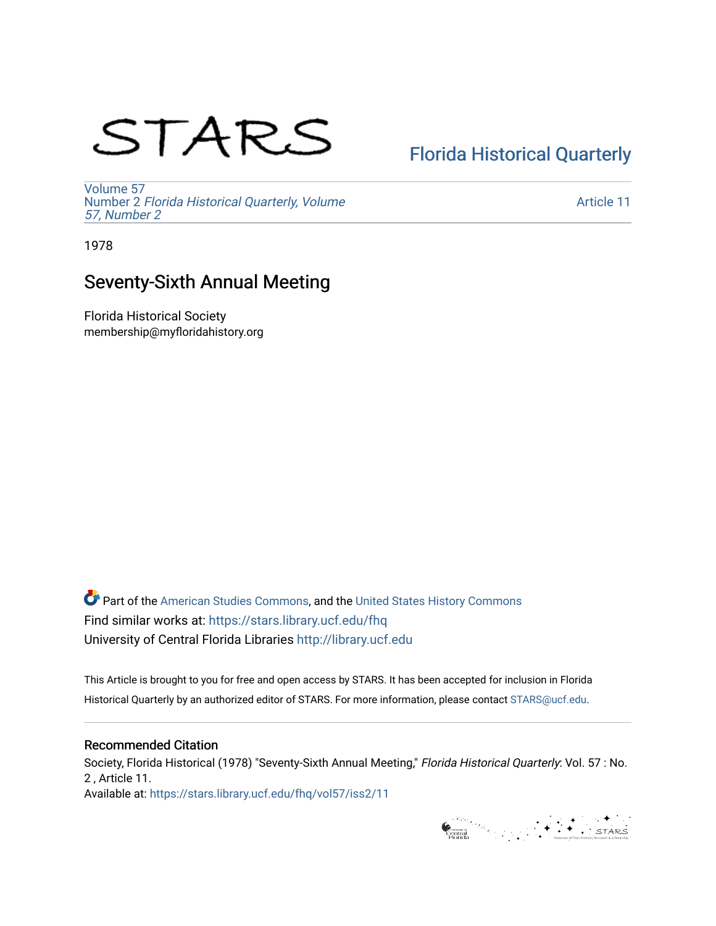# STARS

# [Florida Historical Quarterly](https://stars.library.ucf.edu/fhq)

[Volume 57](https://stars.library.ucf.edu/fhq/vol57) Number 2 [Florida Historical Quarterly, Volume](https://stars.library.ucf.edu/fhq/vol57/iss2)  [57, Number 2](https://stars.library.ucf.edu/fhq/vol57/iss2)

[Article 11](https://stars.library.ucf.edu/fhq/vol57/iss2/11) 

1978

## Seventy-Sixth Annual Meeting

Florida Historical Society membership@myfloridahistory.org

**C** Part of the [American Studies Commons](http://network.bepress.com/hgg/discipline/439?utm_source=stars.library.ucf.edu%2Ffhq%2Fvol57%2Fiss2%2F11&utm_medium=PDF&utm_campaign=PDFCoverPages), and the United States History Commons Find similar works at: <https://stars.library.ucf.edu/fhq> University of Central Florida Libraries [http://library.ucf.edu](http://library.ucf.edu/) 

This Article is brought to you for free and open access by STARS. It has been accepted for inclusion in Florida Historical Quarterly by an authorized editor of STARS. For more information, please contact [STARS@ucf.edu.](mailto:STARS@ucf.edu)

#### Recommended Citation

Society, Florida Historical (1978) "Seventy-Sixth Annual Meeting," Florida Historical Quarterly: Vol. 57 : No. 2 , Article 11. Available at: [https://stars.library.ucf.edu/fhq/vol57/iss2/11](https://stars.library.ucf.edu/fhq/vol57/iss2/11?utm_source=stars.library.ucf.edu%2Ffhq%2Fvol57%2Fiss2%2F11&utm_medium=PDF&utm_campaign=PDFCoverPages)

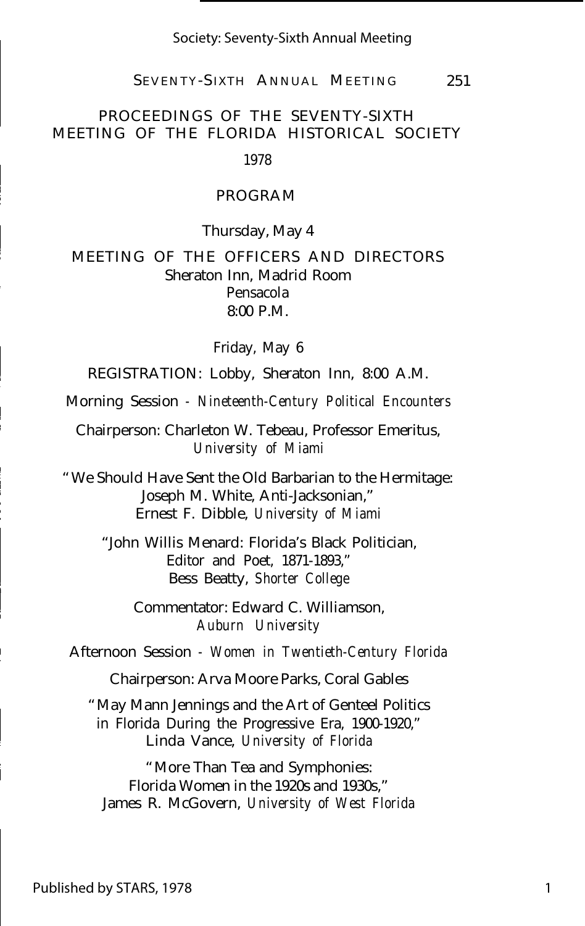SEVENTY-S IXTH ANNUAL MEETING 251

#### PROCEEDINGS OF THE SEVENTY-SIXTH MEETING OF THE FLORIDA HISTORICAL SOCIETY

1978

#### PROGRAM

Thursday, May 4

MEETING OF THE OFFICERS AND DIRECTORS Sheraton Inn, Madrid Room Pensacola  $8:00 \text{ P M}$ 

Friday, May 6

REGISTRATION: Lobby, Sheraton Inn, 8:00 A.M.

Morning Session *- Nineteenth-Century Political Encounters*

Chairperson: Charleton W. Tebeau, Professor Emeritus, *University of Miami*

"We Should Have Sent the Old Barbarian to the Hermitage: Joseph M. White, Anti-Jacksonian," Ernest F. Dibble, *University of Miami*

"John Willis Menard: Florida's Black Politician, Editor and Poet, 1871-1893," Bess Beatty, *Shorter College*

Commentator: Edward C. Williamson, *Auburn University*

Afternoon Session *- Women in Twentieth-Century Florida*

Chairperson: Arva Moore Parks, Coral Gables

"May Mann Jennings and the Art of Genteel Politics in Florida During the Progressive Era, 1900-1920," Linda Vance, *University of Florida*

"More Than Tea and Symphonies: Florida Women in the 1920s and 1930s," James R. McGovern, *University of West Florida*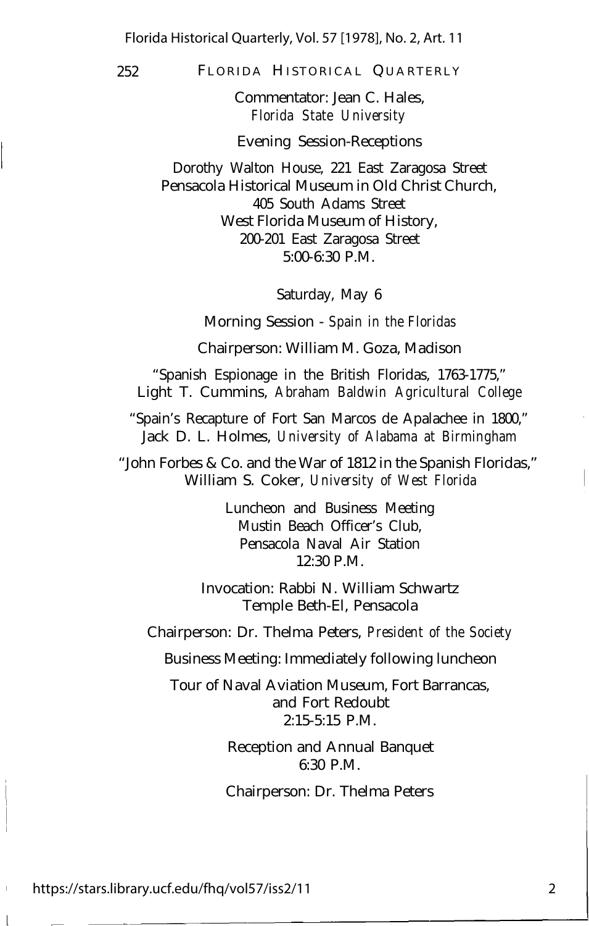252 FLORIDA HISTORICAL QUARTERLY

Commentator: Jean C. Hales, *Florida State University*

Evening Session-Receptions

Dorothy Walton House, 221 East Zaragosa Street Pensacola Historical Museum in Old Christ Church, 405 South Adams Street West Florida Museum of History, 200-201 East Zaragosa Street 5:00-6:30 P.M.

Saturday, May 6

Morning Session - *Spain in the Floridas*

Chairperson: William M. Goza, Madison

"Spanish Espionage in the British Floridas, 1763-1775," Light T. Cummins, *Abraham Baldwin Agricultural College*

"Spain's Recapture of Fort San Marcos de Apalachee in 1800," Jack D. L. Holmes, *University of Alabama at Birmingham*

"John Forbes & Co. and the War of 1812 in the Spanish Floridas," William S. Coker, *University of West Florida*

> Luncheon and Business Meeting Mustin Beach Officer's Club, Pensacola Naval Air Station 12:30 P.M.

Invocation: Rabbi N. William Schwartz Temple Beth-El, Pensacola

Chairperson: Dr. Thelma Peters, *President of the Society*

Business Meeting: Immediately following luncheon

Tour of Naval Aviation Museum, Fort Barrancas, and Fort Redoubt 2:15-5:15 P.M.

> Reception and Annual Banquet 6:30 P.M.

Chairperson: Dr. Thelma Peters

https://stars.library.ucf.edu/fhq/vol57/iss2/11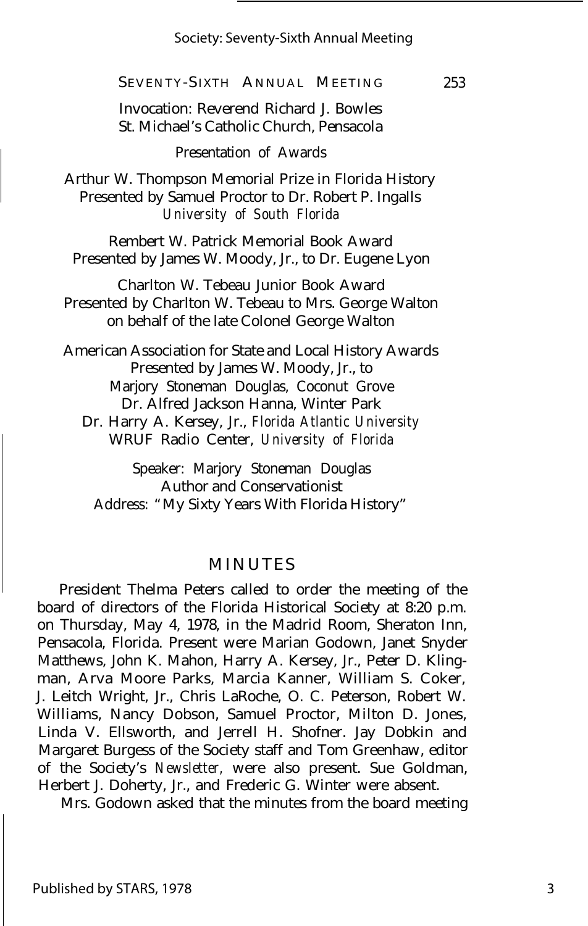253

SEVENTY-S IXTH ANNUAL MEETING

Invocation: Reverend Richard J. Bowles St. Michael's Catholic Church, Pensacola

Presentation of Awards

Arthur W. Thompson Memorial Prize in Florida History Presented by Samuel Proctor to Dr. Robert P. Ingalls *University of South Florida*

Rembert W. Patrick Memorial Book Award Presented by James W. Moody, Jr., to Dr. Eugene Lyon

Charlton W. Tebeau Junior Book Award Presented by Charlton W. Tebeau to Mrs. George Walton on behalf of the late Colonel George Walton

American Association for State and Local History Awards Presented by James W. Moody, Jr., to Marjory Stoneman Douglas, Coconut Grove Dr. Alfred Jackson Hanna, Winter Park

Dr. Harry A. Kersey, Jr., *Florida Atlantic University* WRUF Radio Center, *University of Florida*

Speaker: Marjory Stoneman Douglas Author and Conservationist Address: "My Sixty Years With Florida History"

#### MINUTES

President Thelma Peters called to order the meeting of the board of directors of the Florida Historical Society at 8:20 p.m. on Thursday, May 4, 1978, in the Madrid Room, Sheraton Inn, Pensacola, Florida. Present were Marian Godown, Janet Snyder Matthews, John K. Mahon, Harry A. Kersey, Jr., Peter D. Klingman, Arva Moore Parks, Marcia Kanner, William S. Coker, J. Leitch Wright, Jr., Chris LaRoche, O. C. Peterson, Robert W. Williams, Nancy Dobson, Samuel Proctor, Milton D. Jones, Linda V. Ellsworth, and Jerrell H. Shofner. Jay Dobkin and Margaret Burgess of the Society staff and Tom Greenhaw, editor of the Society's *Newsletter,* were also present. Sue Goldman, Herbert J. Doherty, Jr., and Frederic G. Winter were absent.

Mrs. Godown asked that the minutes from the board meeting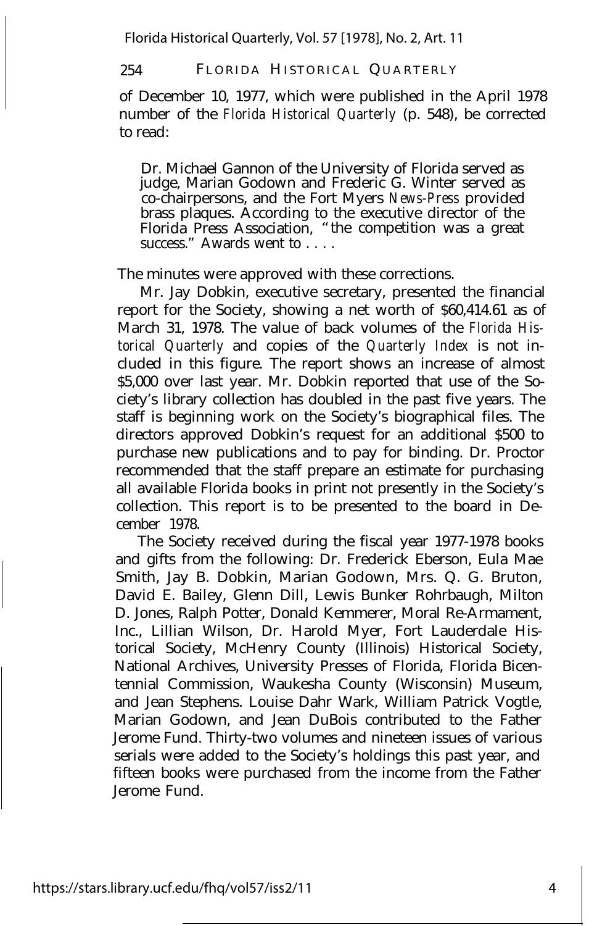254 FLORIDA HISTORICAL QUARTERLY

of December 10, 1977, which were published in the April 1978 number of the *Florida Historical Quarterly* (p. 548), be corrected to read:

Dr. Michael Gannon of the University of Florida served as judge, Marian Godown and Frederic G. Winter served as co-chairpersons, and the Fort Myers *News-Press* provided brass plaques. According to the executive director of the Florida Press Association, "the competition was a great success." Awards went to . . . .

The minutes were approved with these corrections.

Mr. Jay Dobkin, executive secretary, presented the financial report for the Society, showing a net worth of \$60,414.61 as of March 31, 1978. The value of back volumes of the *Florida Historical Quarterly* and copies of the *Quarterly Index* is not included in this figure. The report shows an increase of almost \$5,000 over last year. Mr. Dobkin reported that use of the Society's library collection has doubled in the past five years. The staff is beginning work on the Society's biographical files. The directors approved Dobkin's request for an additional \$500 to purchase new publications and to pay for binding. Dr. Proctor recommended that the staff prepare an estimate for purchasing all available Florida books in print not presently in the Society's collection. This report is to be presented to the board in December 1978.

The Society received during the fiscal year 1977-1978 books and gifts from the following: Dr. Frederick Eberson, Eula Mae Smith, Jay B. Dobkin, Marian Godown, Mrs. Q. G. Bruton, David E. Bailey, Glenn Dill, Lewis Bunker Rohrbaugh, Milton D. Jones, Ralph Potter, Donald Kemmerer, Moral Re-Armament, Inc., Lillian Wilson, Dr. Harold Myer, Fort Lauderdale Historical Society, McHenry County (Illinois) Historical Society, National Archives, University Presses of Florida, Florida Bicentennial Commission, Waukesha County (Wisconsin) Museum, and Jean Stephens. Louise Dahr Wark, William Patrick Vogtle, Marian Godown, and Jean DuBois contributed to the Father Jerome Fund. Thirty-two volumes and nineteen issues of various serials were added to the Society's holdings this past year, and fifteen books were purchased from the income from the Father Jerome Fund.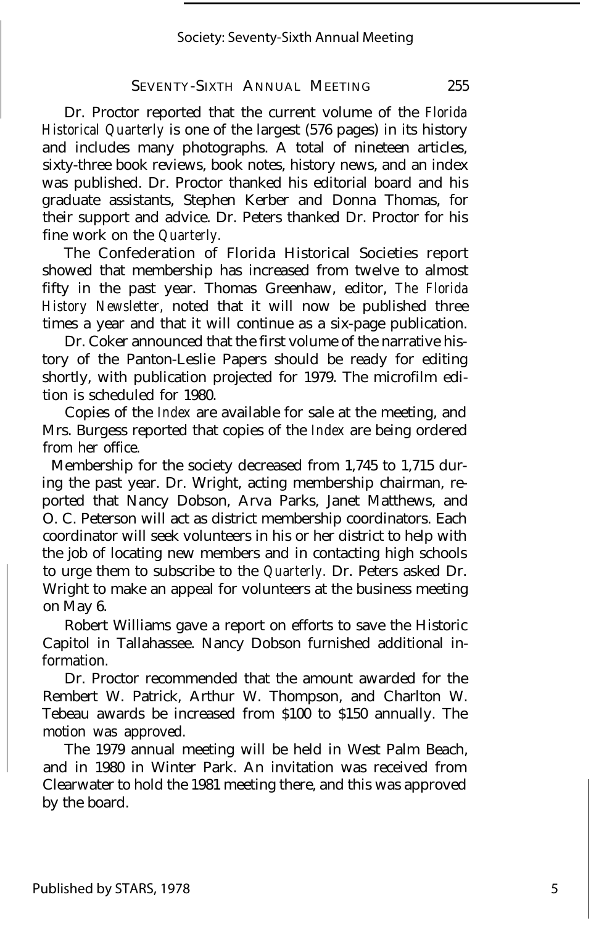#### SEVENTY-SIXTH ANNUAL MEETING 255

Dr. Proctor reported that the current volume of the *Florida Historical Quarterly* is one of the largest (576 pages) in its history and includes many photographs. A total of nineteen articles, sixty-three book reviews, book notes, history news, and an index was published. Dr. Proctor thanked his editorial board and his graduate assistants, Stephen Kerber and Donna Thomas, for their support and advice. Dr. Peters thanked Dr. Proctor for his fine work on the *Quarterly.*

The Confederation of Florida Historical Societies report showed that membership has increased from twelve to almost fifty in the past year. Thomas Greenhaw, editor, *The Florida History Newsletter,* noted that it will now be published three times a year and that it will continue as a six-page publication.

Dr. Coker announced that the first volume of the narrative history of the Panton-Leslie Papers should be ready for editing shortly, with publication projected for 1979. The microfilm edition is scheduled for 1980.

Copies of the *Index* are available for sale at the meeting, and Mrs. Burgess reported that copies of the *Index* are being ordered from her office.

Membership for the society decreased from 1,745 to 1,715 during the past year. Dr. Wright, acting membership chairman, reported that Nancy Dobson, Arva Parks, Janet Matthews, and O. C. Peterson will act as district membership coordinators. Each coordinator will seek volunteers in his or her district to help with the job of locating new members and in contacting high schools to urge them to subscribe to the *Quarterly.* Dr. Peters asked Dr. Wright to make an appeal for volunteers at the business meeting on May 6.

Robert Williams gave a report on efforts to save the Historic Capitol in Tallahassee. Nancy Dobson furnished additional information.

Dr. Proctor recommended that the amount awarded for the Rembert W. Patrick, Arthur W. Thompson, and Charlton W. Tebeau awards be increased from \$100 to \$150 annually. The motion was approved.

The 1979 annual meeting will be held in West Palm Beach, and in 1980 in Winter Park. An invitation was received from Clearwater to hold the 1981 meeting there, and this was approved by the board.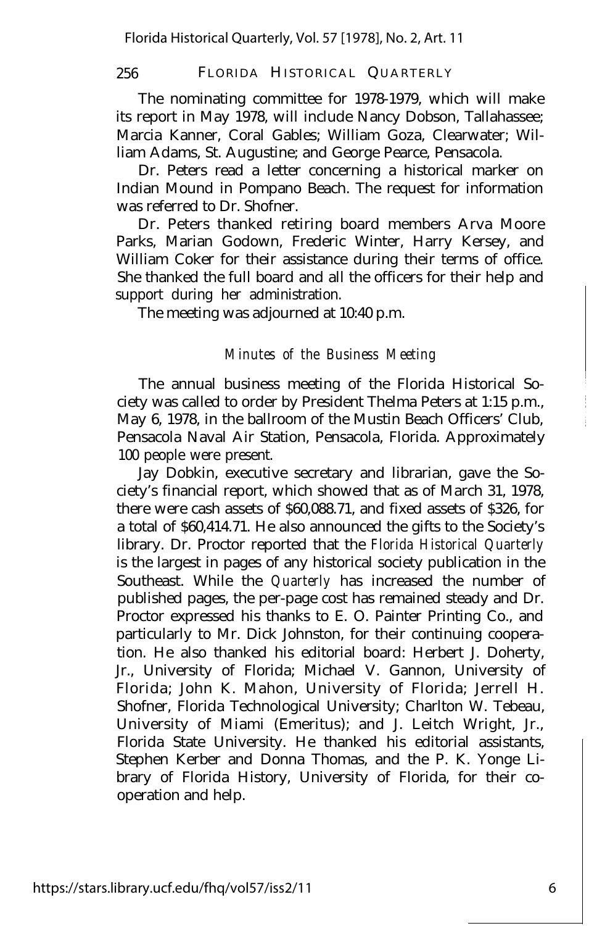The nominating committee for 1978-1979, which will make its report in May 1978, will include Nancy Dobson, Tallahassee; Marcia Kanner, Coral Gables; William Goza, Clearwater; William Adams, St. Augustine; and George Pearce, Pensacola.

Dr. Peters read a letter concerning a historical marker on Indian Mound in Pompano Beach. The request for information was referred to Dr. Shofner.

Dr. Peters thanked retiring board members Arva Moore Parks, Marian Godown, Frederic Winter, Harry Kersey, and William Coker for their assistance during their terms of office. She thanked the full board and all the officers for their help and support during her administration.

The meeting was adjourned at 10:40 p.m.

#### *Minutes of the Business Meeting*

The annual business meeting of the Florida Historical Society was called to order by President Thelma Peters at 1:15 p.m., May 6, 1978, in the ballroom of the Mustin Beach Officers' Club, Pensacola Naval Air Station, Pensacola, Florida. Approximately 100 people were present.

Jay Dobkin, executive secretary and librarian, gave the Society's financial report, which showed that as of March 31, 1978, there were cash assets of \$60,088.71, and fixed assets of \$326, for a total of \$60,414.71. He also announced the gifts to the Society's library. Dr. Proctor reported that the *Florida Historical Quarterly* is the largest in pages of any historical society publication in the Southeast. While the *Quarterly* has increased the number of published pages, the per-page cost has remained steady and Dr. Proctor expressed his thanks to E. O. Painter Printing Co., and particularly to Mr. Dick Johnston, for their continuing cooperation. He also thanked his editorial board: Herbert J. Doherty, Jr., University of Florida; Michael V. Gannon, University of Florida; John K. Mahon, University of Florida; Jerrell H. Shofner, Florida Technological University; Charlton W. Tebeau, University of Miami (Emeritus); and J. Leitch Wright, Jr., Florida State University. He thanked his editorial assistants, Stephen Kerber and Donna Thomas, and the P. K. Yonge Library of Florida History, University of Florida, for their cooperation and help.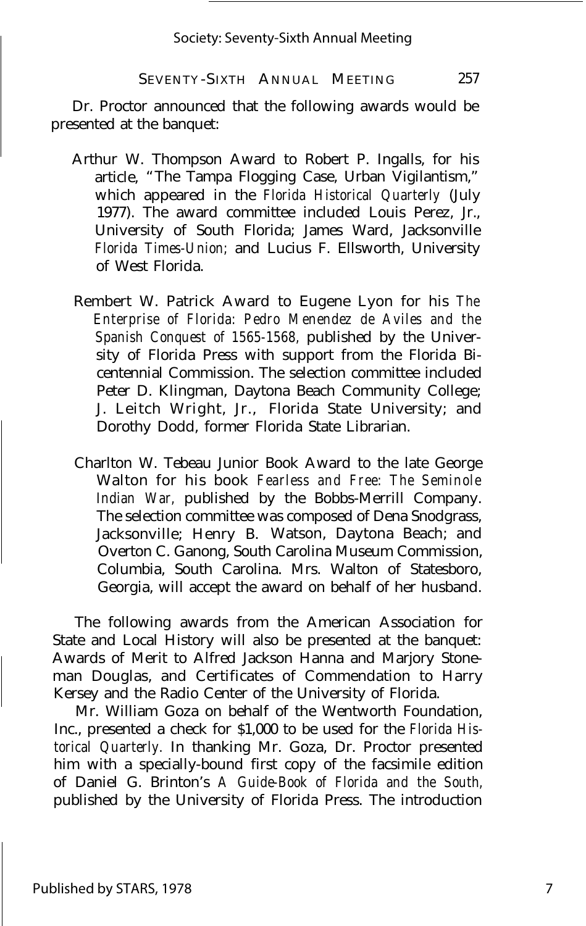Dr. Proctor announced that the following awards would be presented at the banquet:

- Arthur W. Thompson Award to Robert P. Ingalls, for his article, "The Tampa Flogging Case, Urban Vigilantism," which appeared in the *Florida Historical Quarterly* (July 1977). The award committee included Louis Perez, Jr., University of South Florida; James Ward, Jacksonville *Florida Times-Union;* and Lucius F. Ellsworth, University of West Florida.
- Rembert W. Patrick Award to Eugene Lyon for his *The Enterprise of Florida: Pedro Menendez de Aviles and the Spanish Conquest of 1565-1568,* published by the University of Florida Press with support from the Florida Bicentennial Commission. The selection committee included Peter D. Klingman, Daytona Beach Community College; J. Leitch Wright, Jr., Florida State University; and Dorothy Dodd, former Florida State Librarian.
- Charlton W. Tebeau Junior Book Award to the late George Walton for his book *Fearless and Free: The Seminole Indian War,* published by the Bobbs-Merrill Company. The selection committee was composed of Dena Snodgrass, Jacksonville; Henry B. Watson, Daytona Beach; and Overton C. Ganong, South Carolina Museum Commission, Columbia, South Carolina. Mrs. Walton of Statesboro, Georgia, will accept the award on behalf of her husband.

The following awards from the American Association for State and Local History will also be presented at the banquet: Awards of Merit to Alfred Jackson Hanna and Marjory Stoneman Douglas, and Certificates of Commendation to Harry Kersey and the Radio Center of the University of Florida.

Mr. William Goza on behalf of the Wentworth Foundation, Inc., presented a check for \$1,000 to be used for the *Florida Historical Quarterly.* In thanking Mr. Goza, Dr. Proctor presented him with a specially-bound first copy of the facsimile edition of Daniel G. Brinton's *A Guide-Book of Florida and the South,* published by the University of Florida Press. The introduction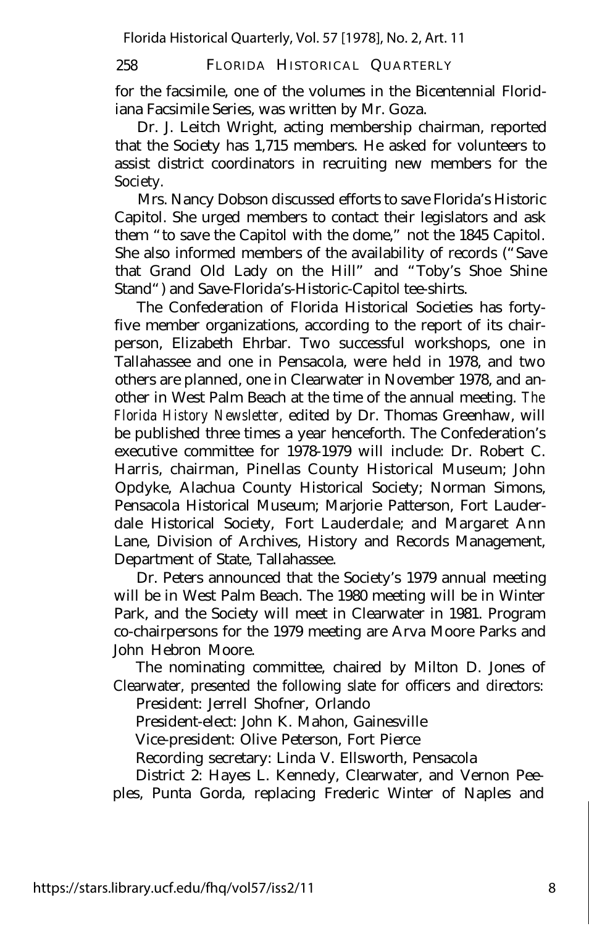258 FLORIDA HISTORICAL QUARTERLY

for the facsimile, one of the volumes in the Bicentennial Floridiana Facsimile Series, was written by Mr. Goza.

Dr. J. Leitch Wright, acting membership chairman, reported that the Society has 1,715 members. He asked for volunteers to assist district coordinators in recruiting new members for the Society.

Mrs. Nancy Dobson discussed efforts to save Florida's Historic Capitol. She urged members to contact their legislators and ask them "to save the Capitol with the dome," not the 1845 Capitol. She also informed members of the availability of records ("Save that Grand Old Lady on the Hill" and "Toby's Shoe Shine Stand") and Save-Florida's-Historic-Capitol tee-shirts.

The Confederation of Florida Historical Societies has fortyfive member organizations, according to the report of its chairperson, Elizabeth Ehrbar. Two successful workshops, one in Tallahassee and one in Pensacola, were held in 1978, and two others are planned, one in Clearwater in November 1978, and another in West Palm Beach at the time of the annual meeting. *The Florida History Newsletter,* edited by Dr. Thomas Greenhaw, will be published three times a year henceforth. The Confederation's executive committee for 1978-1979 will include: Dr. Robert C. Harris, chairman, Pinellas County Historical Museum; John Opdyke, Alachua County Historical Society; Norman Simons, Pensacola Historical Museum; Marjorie Patterson, Fort Lauderdale Historical Society, Fort Lauderdale; and Margaret Ann Lane, Division of Archives, History and Records Management, Department of State, Tallahassee.

Dr. Peters announced that the Society's 1979 annual meeting will be in West Palm Beach. The 1980 meeting will be in Winter Park, and the Society will meet in Clearwater in 1981. Program co-chairpersons for the 1979 meeting are Arva Moore Parks and John Hebron Moore.

The nominating committee, chaired by Milton D. Jones of Clearwater, presented the following slate for officers and directors:

President: Jerrell Shofner, Orlando

President-elect: John K. Mahon, Gainesville

Vice-president: Olive Peterson, Fort Pierce

Recording secretary: Linda V. Ellsworth, Pensacola

District 2: Hayes L. Kennedy, Clearwater, and Vernon Peeples, Punta Gorda, replacing Frederic Winter of Naples and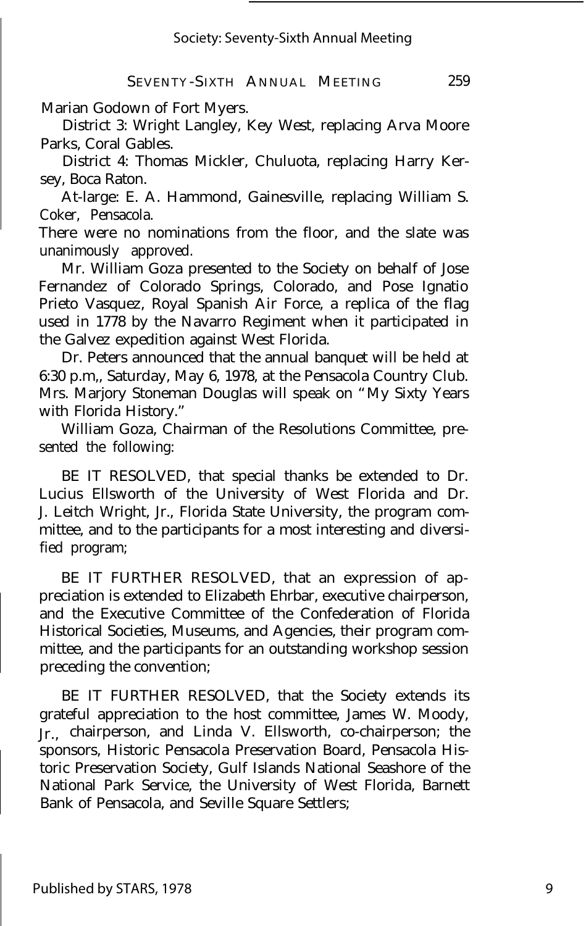Marian Godown of Fort Myers.

District 3: Wright Langley, Key West, replacing Arva Moore Parks, Coral Gables.

District 4: Thomas Mickler, Chuluota, replacing Harry Kersey, Boca Raton.

At-large: E. A. Hammond, Gainesville, replacing William S. Coker, Pensacola.

There were no nominations from the floor, and the slate was unanimously approved.

Mr. William Goza presented to the Society on behalf of Jose Fernandez of Colorado Springs, Colorado, and Pose Ignatio Prieto Vasquez, Royal Spanish Air Force, a replica of the flag used in 1778 by the Navarro Regiment when it participated in the Galvez expedition against West Florida.

Dr. Peters announced that the annual banquet will be held at 6:30 p.m,, Saturday, May 6, 1978, at the Pensacola Country Club. Mrs. Marjory Stoneman Douglas will speak on "My Sixty Years with Florida History."

William Goza, Chairman of the Resolutions Committee, presented the following:

BE IT RESOLVED, that special thanks be extended to Dr. Lucius Ellsworth of the University of West Florida and Dr. J. Leitch Wright, Jr., Florida State University, the program committee, and to the participants for a most interesting and diversified program;

BE IT FURTHER RESOLVED, that an expression of appreciation is extended to Elizabeth Ehrbar, executive chairperson, and the Executive Committee of the Confederation of Florida Historical Societies, Museums, and Agencies, their program committee, and the participants for an outstanding workshop session preceding the convention;

BE IT FURTHER RESOLVED, that the Society extends its grateful appreciation to the host committee, James W. Moody, Jr., chairperson, and Linda V. Ellsworth, co-chairperson; the sponsors, Historic Pensacola Preservation Board, Pensacola Historic Preservation Society, Gulf Islands National Seashore of the National Park Service, the University of West Florida, Barnett Bank of Pensacola, and Seville Square Settlers;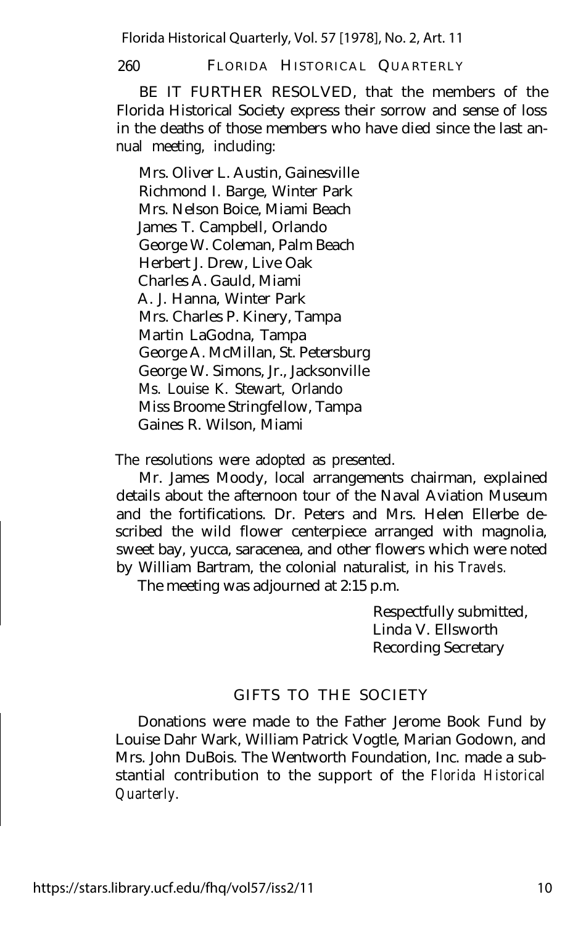260 FLORIDA HISTORICAL QUARTERLY

BE IT FURTHER RESOLVED, that the members of the Florida Historical Society express their sorrow and sense of loss in the deaths of those members who have died since the last annual meeting, including:

Mrs. Oliver L. Austin, Gainesville Richmond I. Barge, Winter Park Mrs. Nelson Boice, Miami Beach James T. Campbell, Orlando George W. Coleman, Palm Beach Herbert J. Drew, Live Oak Charles A. Gauld, Miami A. J. Hanna, Winter Park Mrs. Charles P. Kinery, Tampa Martin LaGodna, Tampa George A. McMillan, St. Petersburg George W. Simons, Jr., Jacksonville Ms. Louise K. Stewart, Orlando Miss Broome Stringfellow, Tampa Gaines R. Wilson, Miami

The resolutions were adopted as presented.

Mr. James Moody, local arrangements chairman, explained details about the afternoon tour of the Naval Aviation Museum and the fortifications. Dr. Peters and Mrs. Helen Ellerbe described the wild flower centerpiece arranged with magnolia, sweet bay, yucca, saracenea, and other flowers which were noted by William Bartram, the colonial naturalist, in his *Travels.*

The meeting was adjourned at 2:15 p.m.

Respectfully submitted, Linda V. Ellsworth Recording Secretary

#### GIFTS TO THE SOCIETY

Donations were made to the Father Jerome Book Fund by Louise Dahr Wark, William Patrick Vogtle, Marian Godown, and Mrs. John DuBois. The Wentworth Foundation, Inc. made a substantial contribution to the support of the *Florida Historical Quarterly.*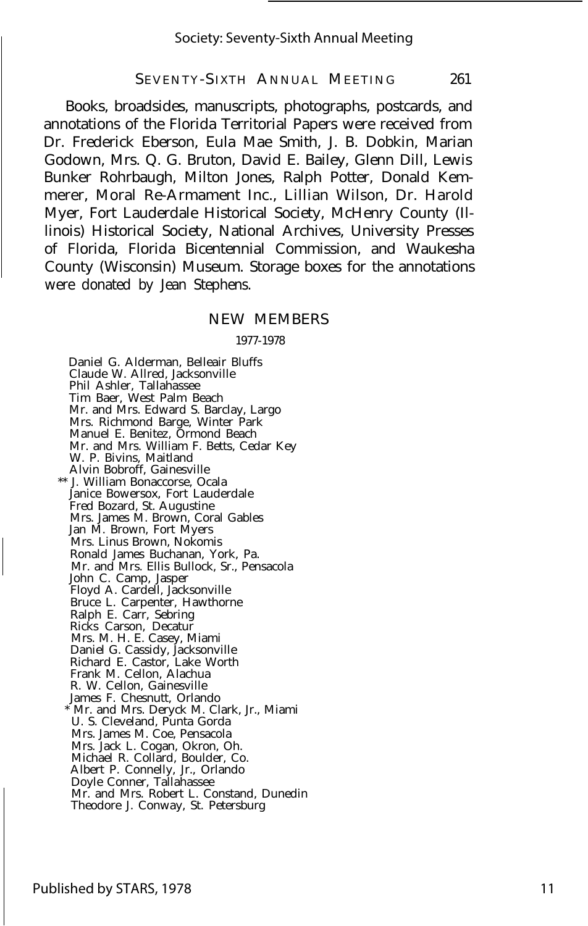#### SEVENTY-SIXTH ANNUAL MEETING 261

Books, broadsides, manuscripts, photographs, postcards, and annotations of the Florida Territorial Papers were received from Dr. Frederick Eberson, Eula Mae Smith, J. B. Dobkin, Marian Godown, Mrs. Q. G. Bruton, David E. Bailey, Glenn Dill, Lewis Bunker Rohrbaugh, Milton Jones, Ralph Potter, Donald Kemmerer, Moral Re-Armament Inc., Lillian Wilson, Dr. Harold Myer, Fort Lauderdale Historical Society, McHenry County (Illinois) Historical Society, National Archives, University Presses of Florida, Florida Bicentennial Commission, and Waukesha County (Wisconsin) Museum. Storage boxes for the annotations were donated by Jean Stephens.

#### NEW MEMBERS

#### 1977-1978

Daniel G. Alderman, Belleair Bluffs Claude W. Allred, Jacksonville Phil Ashler, Tallahassee Tim Baer, West Palm Beach Mr. and Mrs. Edward S. Barclay, Largo Mrs. Richmond Barge, Winter Park Manuel E. Benitez, Ormond Beach Mr. and Mrs. William F. Betts, Cedar Key W. P. Bivins, Maitland Alvin Bobroff, Gainesville \*\* J. William Bonaccorse, Ocala Janice Bowersox, Fort Lauderdale Fred Bozard, St. Augustine Mrs. James M. Brown, Coral Gables Jan M. Brown, Fort Myers Mrs. Linus Brown, Nokomis Ronald James Buchanan, York, Pa. Mr. and Mrs. Ellis Bullock, Sr., Pensacola John C. Camp, Jasper Floyd A. Cardell, Jacksonville Bruce L. Carpenter, Hawthorne Ralph E. Carr, Sebring Ricks Carson, Decatur Mrs. M. H. E. Casey, Miami Daniel G. Cassidy, Jacksonville Richard E. Castor, Lake Worth Frank M. Cellon, Alachua R. W. Cellon, Gainesville James F. Chesnutt, Orlando \* Mr. and Mrs. Deryck M. Clark, Jr., Miami U. S. Cleveland, Punta Gorda Mrs. James M. Coe, Pensacola Mrs. Jack L. Cogan, Okron, Oh. Michael R. Collard, Boulder, Co. Albert P. Connelly, Jr., Orlando Doyle Conner, Tallahassee Mr. and Mrs. Robert L. Constand, Dunedin Theodore J. Conway, St. Petersburg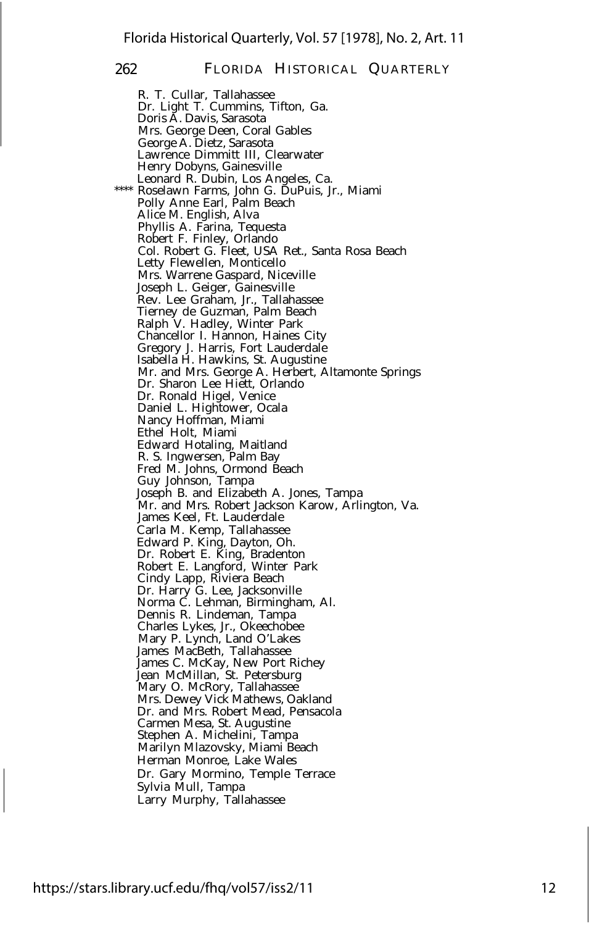R. T. Cullar, Tallahassee Dr. Light T. Cummins, Tifton, Ga. Doris A. Davis, Sarasota Mrs. George Deen, Coral Gables George A. Dietz, Sarasota Lawrence Dimmitt III, Clearwater Henry Dobyns, Gainesville Leonard R. Dubin, Los Angeles, Ca. \*\*\*\* Roselawn Farms, John G. DuPuis, Jr., Miami Polly Anne Earl, Palm Beach Alice M. English, Alva Phyllis A. Farina, Tequesta Robert F. Finley, Orlando Col. Robert G. Fleet, USA Ret., Santa Rosa Beach Letty Flewellen, Monticello Mrs. Warrene Gaspard, Niceville Joseph L. Geiger, Gainesville Rev. Lee Graham, Jr., Tallahassee Tierney de Guzman, Palm Beach Ralph V. Hadley, Winter Park Chancellor I. Hannon, Haines City Gregory J. Harris, Fort Lauderdale Isabella H. Hawkins, St. Augustine Mr. and Mrs. George A. Herbert, Altamonte Springs Dr. Sharon Lee Hiett, Orlando Dr. Ronald Higel, Venice Daniel L. Hightower, Ocala Nancy Hoffman, Miami Ethel Holt, Miami Edward Hotaling, Maitland R. S. Ingwersen, Palm Bay Fred M. Johns, Ormond Beach Guy Johnson, Tampa Joseph B. and Elizabeth A. Jones, Tampa Mr. and Mrs. Robert Jackson Karow, Arlington, Va. James Keel, Ft. Lauderdale Carla M. Kemp, Tallahassee Edward P. King, Dayton, Oh. Dr. Robert E. King, Bradenton Robert E. Langford, Winter Park Cindy Lapp, Riviera Beach Dr. Harry G. Lee, Jacksonville Norma C. Lehman, Birmingham, Al. Dennis R. Lindeman, Tampa Charles Lykes, Jr., Okeechobee Mary P. Lynch, Land O'Lakes James MacBeth, Tallahassee James C. McKay, New Port Richey Jean McMillan, St. Petersburg Mary O. McRory, Tallahassee Mrs. Dewey Vick Mathews, Oakland Dr. and Mrs. Robert Mead, Pensacola Carmen Mesa, St. Augustine Stephen A. Michelini, Tampa Marilyn Mlazovsky, Miami Beach Herman Monroe, Lake Wales Dr. Gary Mormino, Temple Terrace Sylvia Mull, Tampa Larry Murphy, Tallahassee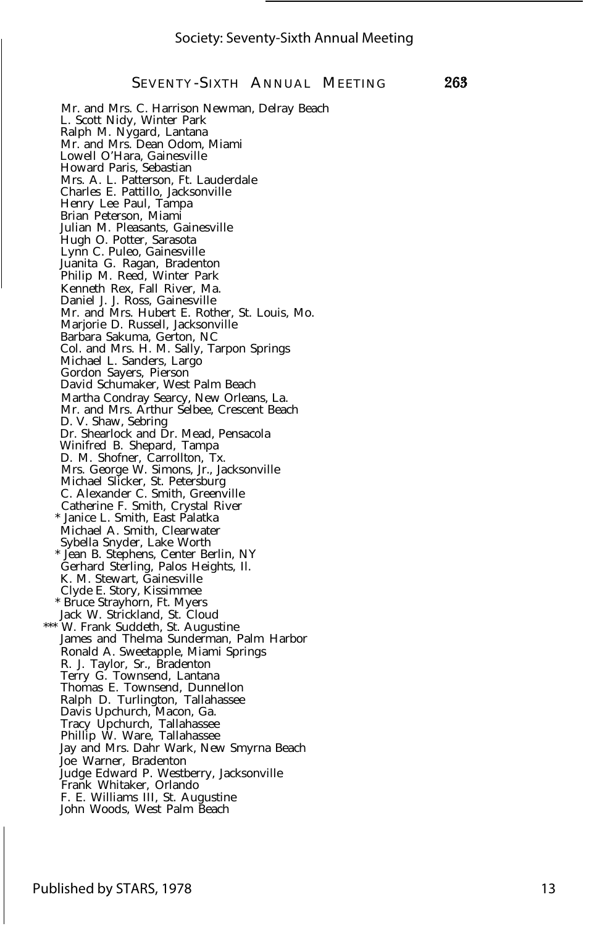263

SEVENTY -SIXTH ANNUAL MEETING

Mr. and Mrs. C. Harrison Newman, Delray Beach L. Scott Nidy, Winter Park Ralph M. Nygard, Lantana Mr. and Mrs. Dean Odom, Miami Lowell O'Hara, Gainesville Howard Paris, Sebastian Mrs. A. L. Patterson, Ft. Lauderdale Charles E. Pattillo, Jacksonville Henry Lee Paul, Tampa Brian Peterson, Miami Julian M. Pleasants, Gainesville Hugh O. Potter, Sarasota Lynn C. Puleo, Gainesville Juanita G. Ragan, Bradenton Philip M. Reed, Winter Park Kenneth Rex, Fall River, Ma. Daniel J. J. Ross, Gainesville Mr. and Mrs. Hubert E. Rother, St. Louis, Mo. Marjorie D. Russell, Jacksonville Barbara Sakuma, Gerton, NC Col. and Mrs. H. M. Sally, Tarpon Springs Michael L. Sanders, Largo Gordon Sayers, Pierson David Schumaker, West Palm Beach Martha Condray Searcy, New Orleans, La. Mr. and Mrs. Arthur Selbee, Crescent Beach D. V. Shaw, Sebring Dr. Shearlock and Dr. Mead, Pensacola Winifred B. Shepard, Tampa D. M. Shofner, Carrollton, Tx. Mrs. George W. Simons, Jr., Jacksonville Michael Slicker, St. Petersburg C. Alexander C. Smith, Greenville Catherine F. Smith, Crystal River \* Janice L. Smith, East Palatka Michael A. Smith, Clearwater Sybella Snyder, Lake Worth \* Jean B. Stephens, Center Berlin, NY Gerhard Sterling, Palos Heights, Il. K. M. Stewart, Gainesville Clyde E. Story, Kissimmee \* Bruce Strayhorn, Ft. Myers Jack W. Strickland, St. Cloud \*\*\* W. Frank Suddeth, St. Augustine James and Thelma Sunderman, Palm Harbor Ronald A. Sweetapple, Miami Springs R. J. Taylor, Sr., Bradenton Terry G. Townsend, Lantana Thomas E. Townsend, Dunnellon Ralph D. Turlington, Tallahassee Davis Upchurch, Macon, Ga. Tracy Upchurch, Tallahassee Phillip W. Ware, Tallahassee Jay and Mrs. Dahr Wark, New Smyrna Beach Joe Warner, Bradenton Judge Edward P. Westberry, Jacksonville Frank Whitaker, Orlando F. E. Williams III, St. Augustine John Woods, West Palm Beach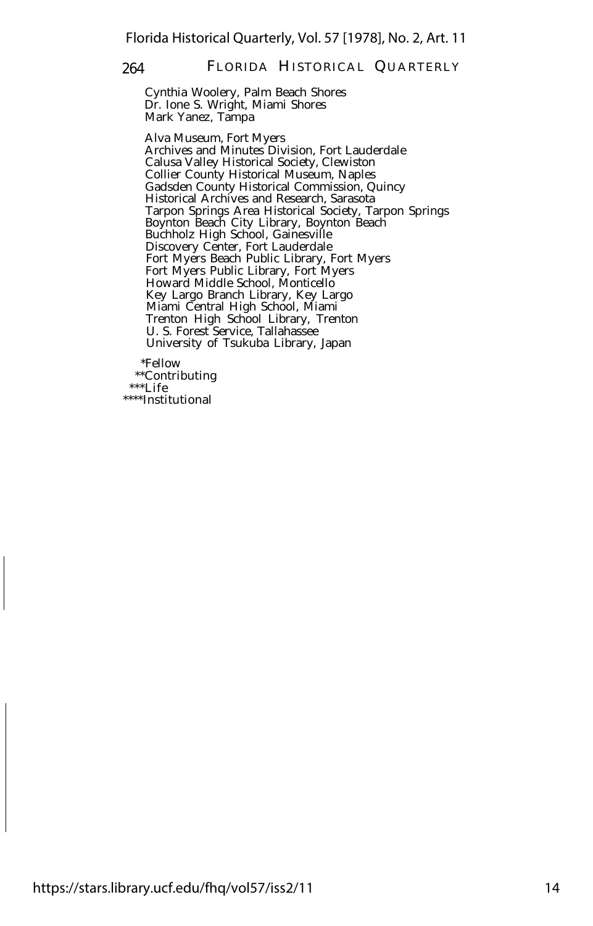Cynthia Woolery, Palm Beach Shores Dr. Ione S. Wright, Miami Shores Mark Yanez, Tampa

Alva Museum, Fort Myers Archives and Minutes Division, Fort Lauderdale Calusa Valley Historical Society, Clewiston Collier County Historical Museum, Naples Gadsden County Historical Commission, Quincy Historical Archives and Research, Sarasota Tarpon Springs Area Historical Society, Tarpon Springs Boynton Beach City Library, Boynton Beach Buchholz High School, Gainesville Discovery Center, Fort Lauderdale Fort Myers Beach Public Library, Fort Myers Fort Myers Public Library, Fort Myers Howard Middle School, Monticello Key Largo Branch Library, Key Largo Miami Central High School, Miami Trenton High School Library, Trenton U. S. Forest Service, Tallahassee University of Tsukuba Library, Japan

\*Fellow \*\*Contributing \*\*\*Life \*\*\*\*Institutional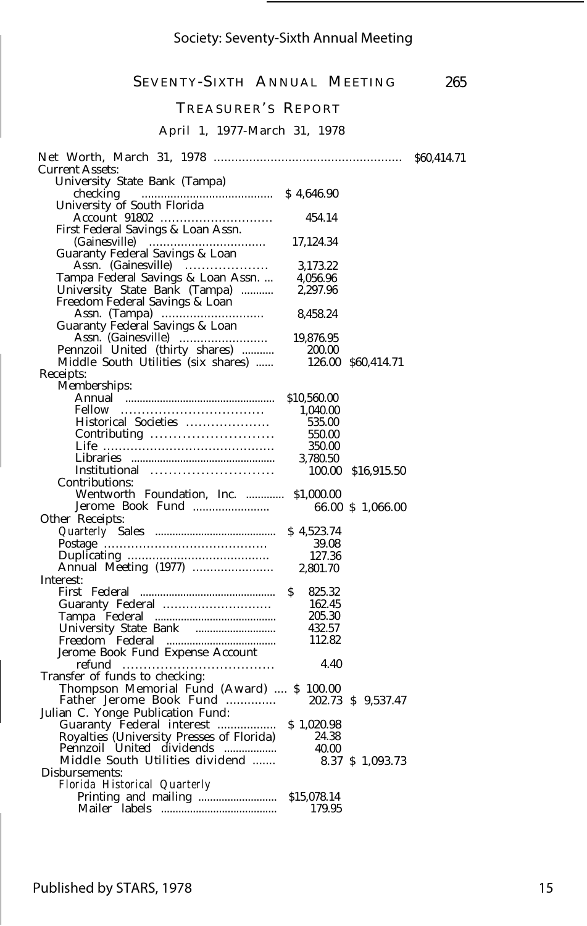#### SEVENTY-SIXTH ANNUAL MEETING 265

#### TREASURER'S REPORT

#### April 1, 1977-March 31, 1978

|                                             |              |                    | \$60,414.71 |
|---------------------------------------------|--------------|--------------------|-------------|
| <b>Current Assets:</b>                      |              |                    |             |
| University State Bank (Tampa)               |              |                    |             |
| checking                                    |              |                    |             |
| University of South Florida                 |              |                    |             |
|                                             | 454.14       |                    |             |
| First Federal Savings & Loan Assn.          |              |                    |             |
|                                             | 17,124.34    |                    |             |
| Guaranty Federal Savings & Loan             |              |                    |             |
| Assn. (Gainesville)                         | 3,173.22     |                    |             |
| Tampa Federal Savings & Loan Assn.          | 4.056.96     |                    |             |
| University State Bank (Tampa)               | 2,297.96     |                    |             |
| Freedom Federal Savings & Loan              |              |                    |             |
|                                             | 8,458.24     |                    |             |
| Guaranty Federal Savings & Loan             |              |                    |             |
|                                             | 19,876.95    |                    |             |
| Pennzoil United (thirty shares)             | 200.00       |                    |             |
| Middle South Utilities (six shares)         |              | 126.00 \$60,414.71 |             |
| Receipts:                                   |              |                    |             |
| Memberships:                                |              |                    |             |
|                                             | \$10,560.00  |                    |             |
|                                             | 1,040.00     |                    |             |
| Historical Societies                        | 535.00       |                    |             |
|                                             | 550.00       |                    |             |
|                                             | 350.00       |                    |             |
|                                             | 3,780.50     |                    |             |
| Institutional                               |              | 100.00 \$16,915.50 |             |
| Contributions:                              |              |                    |             |
| Wentworth Foundation, Inc.  \$1,000.00      |              |                    |             |
| Jerome Book Fund                            |              | 66.00 \$ 1,066.00  |             |
| Other Receipts:                             |              |                    |             |
|                                             | \$4,523.74   |                    |             |
|                                             | 39.08        |                    |             |
|                                             | 127.36       |                    |             |
|                                             | 2,801.70     |                    |             |
| Interest:                                   |              |                    |             |
|                                             | 825.32<br>S. |                    |             |
| Guaranty Federal                            | 162.45       |                    |             |
|                                             | 205.30       |                    |             |
|                                             | 432.57       |                    |             |
|                                             | 112.82       |                    |             |
| Jerome Book Fund Expense Account            |              |                    |             |
|                                             | 4.40         |                    |             |
| Transfer of funds to checking:              |              |                    |             |
| Thompson Memorial Fund (Award)  \$ 100.00   |              |                    |             |
| Father Jerome Book Fund  202.73 \$ 9,537.47 |              |                    |             |
| Julian C. Yonge Publication Fund:           |              |                    |             |
|                                             |              |                    |             |
|                                             |              |                    |             |
|                                             |              |                    |             |
|                                             |              | 8.37 \$ 1,093.73   |             |
| Disbursements:                              |              |                    |             |
| Florida Historical Quarterly                |              |                    |             |
|                                             |              |                    |             |
|                                             |              |                    |             |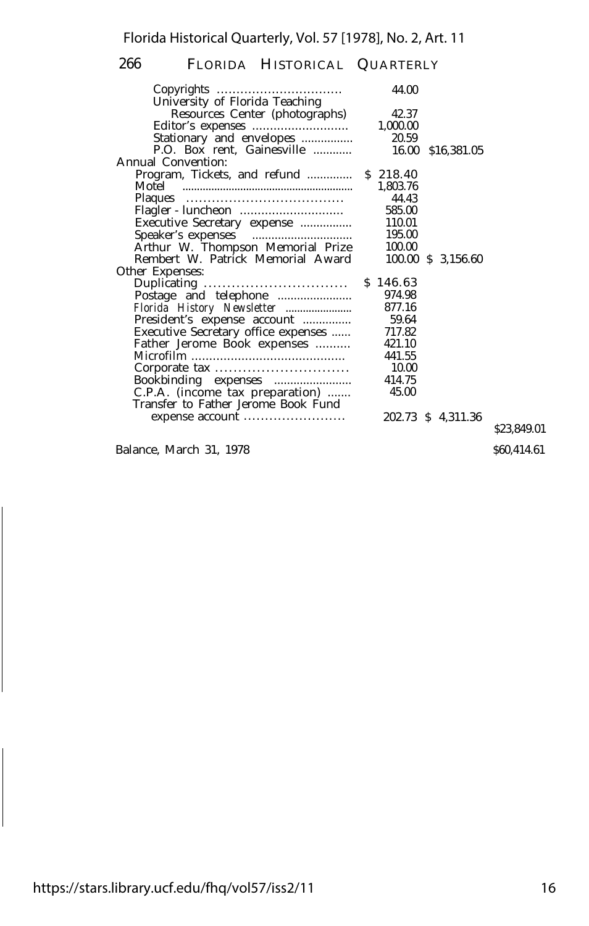| Copyrights                                              | 44.00    |                    |  |
|---------------------------------------------------------|----------|--------------------|--|
| University of Florida Teaching                          |          |                    |  |
| Resources Center (photographs)                          | 42.37    |                    |  |
|                                                         | 1,000.00 |                    |  |
| Stationary and envelopes                                | 20.59    |                    |  |
| P.O. Box rent, Gainesville                              | 16.00    | \$16,381.05        |  |
| Annual Convention:                                      |          |                    |  |
| Program, Tickets, and refund  \$ 218.40                 |          |                    |  |
|                                                         | 1,803.76 |                    |  |
|                                                         | 44.43    |                    |  |
|                                                         | 585.00   |                    |  |
| Executive Secretary expense                             | 110.01   |                    |  |
|                                                         | 195.00   |                    |  |
| Speaker's expenses<br>Arthur W. Thompson Memorial Prize | 100.00   |                    |  |
| Rembert W. Patrick Memorial Award                       |          | 100.00 \$ 3,156.60 |  |
| Other Expenses:                                         |          |                    |  |
| Duplicating                                             | \$146.63 |                    |  |
|                                                         | 974.98   |                    |  |
| Florida History Newsletter                              | 877.16   |                    |  |
| President's expense account                             | 59.64    |                    |  |
| Executive Secretary office expenses                     | 717.82   |                    |  |
| Father Jerome Book expenses                             | 421.10   |                    |  |
|                                                         | 441.55   |                    |  |
| Corporate tax                                           | 10.00    |                    |  |
| Bookbinding expenses                                    | 414.75   |                    |  |
| C.P.A. (income tax preparation)                         | 45.00    |                    |  |
| Transfer to Father Jerome Book Fund                     |          |                    |  |
| expense account                                         |          | 202.73 \$ 4,311.36 |  |
|                                                         |          |                    |  |

Balance, March 31, 1978

\$23,849.01

\$60,414.61